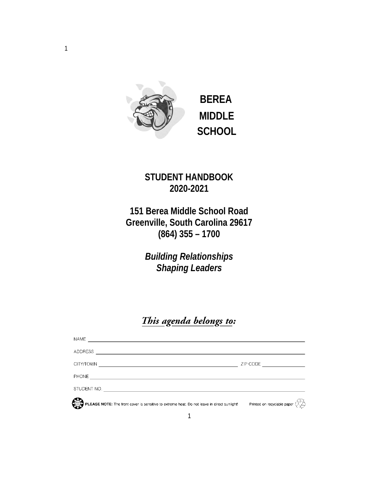

 **BEREA MIDDLE SCHOOL**

# **STUDENT HANDBOOK 2020-2021**

**151 Berea Middle School Road Greenville, South Carolina 29617 (864) 355 – 1700**

> *Building Relationships Shaping Leaders*

# This agenda belongs to:

| <b>NAME</b>                                                                                 |                                                                           |
|---------------------------------------------------------------------------------------------|---------------------------------------------------------------------------|
| <b>ADDRESS</b>                                                                              |                                                                           |
| CITY/TOWN                                                                                   | ZIP CODE                                                                  |
| <b>PHONE</b>                                                                                |                                                                           |
| STUDENT NO.                                                                                 |                                                                           |
| PLEASE NOTE: The front cover is sensitive to extreme heat. Do not leave in direct sunlight! | Printed on recyclable paper $\langle \hat{A}_{\mu} \hat{\hat{B}} \rangle$ |
|                                                                                             |                                                                           |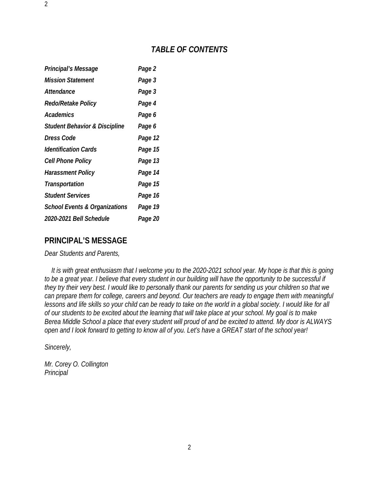## *TABLE OF CONTENTS*

| Principal's Message                      | Page 2  |
|------------------------------------------|---------|
| <b>Mission Statement</b>                 | Page 3  |
| Attendance                               | Page 3  |
| Redo/Retake Policy                       | Page 4  |
| Academics                                | Page 6  |
| <b>Student Behavior &amp; Discipline</b> | Page 6  |
| Dress Code                               | Page 12 |
| <i><b>Identification Cards</b></i>       | Page 15 |
| <b>Cell Phone Policy</b>                 | Page 13 |
| Harassment Policy                        | Page 14 |
| Transportation                           | Page 15 |
| <b>Student Services</b>                  | Page 16 |
| <b>School Events &amp; Organizations</b> | Page 19 |
| 2020-2021 Bell Schedule                  | Page 20 |

## **PRINCIPAL'S MESSAGE**

*Dear Students and Parents,*

 *It is with great enthusiasm that I welcome you to the 2020-2021 school year. My hope is that this is going to be a great year. I believe that every student in our building will have the opportunity to be successful if they try their very best. I would like to personally thank our parents for sending us your children so that we can prepare them for college, careers and beyond. Our teachers are ready to engage them with meaningful lessons and life skills so your child can be ready to take on the world in a global society. I would like for all of our students to be excited about the learning that will take place at your school. My goal is to make Berea Middle School a place that every student will proud of and be excited to attend. My door is ALWAYS open and I look forward to getting to know all of you. Let's have a GREAT start of the school year!*

*Sincerely,*

2

*Mr. Corey O. Collington Principal*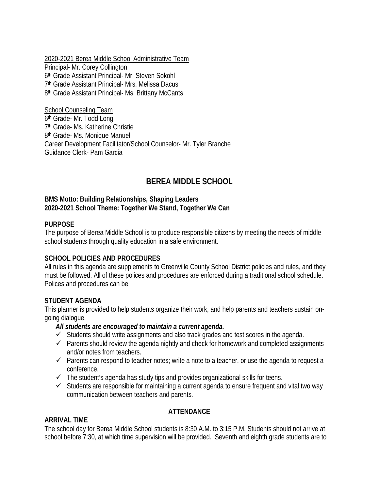2020-2021 Berea Middle School Administrative Team Principal- Mr. Corey Collington 6th Grade Assistant Principal- Mr. Steven Sokohl 7<sup>th</sup> Grade Assistant Principal- Mrs. Melissa Dacus 8<sup>th</sup> Grade Assistant Principal- Ms. Brittany McCants

School Counseling Team 6th Grade- Mr. Todd Long 7th Grade- Ms. Katherine Christie 8th Grade- Ms. Monique Manuel Career Development Facilitator/School Counselor- Mr. Tyler Branche Guidance Clerk- Pam Garcia

## **BEREA MIDDLE SCHOOL**

#### **BMS Motto: Building Relationships, Shaping Leaders 2020-2021 School Theme: Together We Stand, Together We Can**

#### **PURPOSE**

The purpose of Berea Middle School is to produce responsible citizens by meeting the needs of middle school students through quality education in a safe environment.

#### **SCHOOL POLICIES AND PROCEDURES**

All rules in this agenda are supplements to Greenville County School District policies and rules, and they must be followed. All of these polices and procedures are enforced during a traditional school schedule. Polices and procedures can be

#### **STUDENT AGENDA**

This planner is provided to help students organize their work, and help parents and teachers sustain ongoing dialogue.

#### *All students are encouraged to maintain a current agenda.*

- $\checkmark$  Students should write assignments and also track grades and test scores in the agenda.
- $\checkmark$  Parents should review the agenda nightly and check for homework and completed assignments and/or notes from teachers.
- $\checkmark$  Parents can respond to teacher notes; write a note to a teacher, or use the agenda to request a conference.
- $\checkmark$  The student's agenda has study tips and provides organizational skills for teens.
- $\checkmark$  Students are responsible for maintaining a current agenda to ensure frequent and vital two way communication between teachers and parents.

## **ATTENDANCE**

## **ARRIVAL TIME**

The school day for Berea Middle School students is 8:30 A.M. to 3:15 P.M. Students should not arrive at school before 7:30, at which time supervision will be provided. Seventh and eighth grade students are to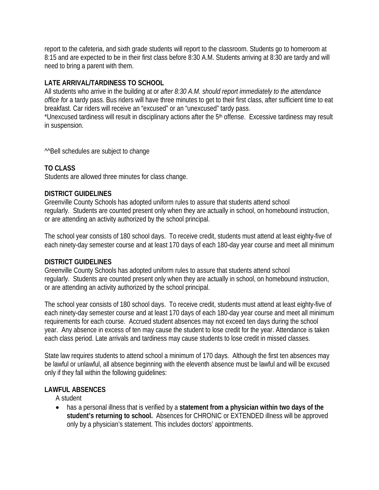report to the cafeteria, and sixth grade students will report to the classroom. Students go to homeroom at 8:15 and are expected to be in their first class before 8:30 A.M. Students arriving at 8:30 are tardy and will need to bring a parent with them.

## **LATE ARRIVAL/TARDINESS TO SCHOOL**

All students who arrive in the building at or *after 8:30 A.M. should report immediately to the attendance office f*or a tardy pass. Bus riders will have three minutes to get to their first class, after sufficient time to eat breakfast. Car riders will receive an "excused" or an "unexcused" tardy pass.

\*Unexcused tardiness will result in disciplinary actions after the 5th offense. Excessive tardiness may result in suspension.

^^Bell schedules are subject to change

## **TO CLASS**

Students are allowed three minutes for class change.

## **DISTRICT GUIDELINES**

Greenville County Schools has adopted uniform rules to assure that students attend school regularly. Students are counted present only when they are actually in school, on homebound instruction, or are attending an activity authorized by the school principal.

The school year consists of 180 school days. To receive credit, students must attend at least eighty-five of each ninety-day semester course and at least 170 days of each 180-day year course and meet all minimum

#### **DISTRICT GUIDELINES**

Greenville County Schools has adopted uniform rules to assure that students attend school regularly. Students are counted present only when they are actually in school, on homebound instruction, or are attending an activity authorized by the school principal.

The school year consists of 180 school days. To receive credit, students must attend at least eighty-five of each ninety-day semester course and at least 170 days of each 180-day year course and meet all minimum requirements for each course. Accrued student absences may not exceed ten days during the school year. Any absence in excess of ten may cause the student to lose credit for the year. Attendance is taken each class period. Late arrivals and tardiness may cause students to lose credit in missed classes.

State law requires students to attend school a minimum of 170 days. Although the first ten absences may be lawful or unlawful, all absence beginning with the eleventh absence must be lawful and will be excused only if they fall within the following guidelines:

## **LAWFUL ABSENCES**

A student

• has a personal illness that is verified by a **statement from a physician within two days of the student's returning to school.** Absences for CHRONIC or EXTENDED illness will be approved only by a physician's statement. This includes doctors' appointments.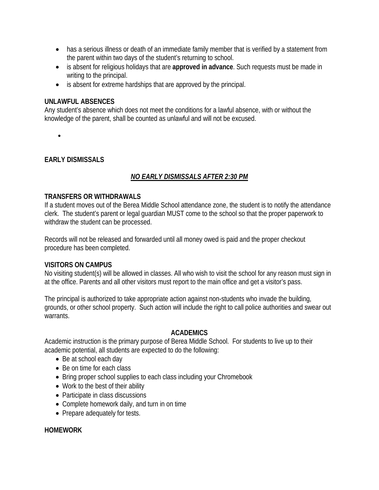- has a serious illness or death of an immediate family member that is verified by a statement from the parent within two days of the student's returning to school.
- is absent for religious holidays that are **approved in advance**. Such requests must be made in writing to the principal.
- is absent for extreme hardships that are approved by the principal.

#### **UNLAWFUL ABSENCES**

Any student's absence which does not meet the conditions for a lawful absence, with or without the knowledge of the parent, shall be counted as unlawful and will not be excused.

•

#### **EARLY DISMISSALS**

## *NO EARLY DISMISSALS AFTER 2:30 PM*

#### **TRANSFERS OR WITHDRAWALS**

If a student moves out of the Berea Middle School attendance zone, the student is to notify the attendance clerk. The student's parent or legal guardian MUST come to the school so that the proper paperwork to withdraw the student can be processed.

Records will not be released and forwarded until all money owed is paid and the proper checkout procedure has been completed.

#### **VISITORS ON CAMPUS**

No visiting student(s) will be allowed in classes. All who wish to visit the school for any reason must sign in at the office. Parents and all other visitors must report to the main office and get a visitor's pass.

The principal is authorized to take appropriate action against non-students who invade the building, grounds, or other school property. Such action will include the right to call police authorities and swear out warrants.

#### **ACADEMICS**

Academic instruction is the primary purpose of Berea Middle School. For students to live up to their academic potential, all students are expected to do the following:

- Be at school each day
- Be on time for each class
- Bring proper school supplies to each class including your Chromebook
- Work to the best of their ability
- Participate in class discussions
- Complete homework daily, and turn in on time
- Prepare adequately for tests.

#### **HOMEWORK**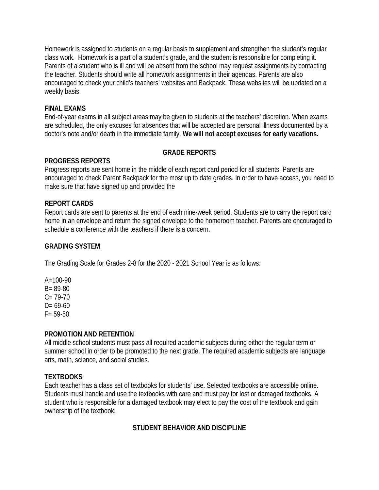Homework is assigned to students on a regular basis to supplement and strengthen the student's regular class work. Homework is a part of a student's grade, and the student is responsible for completing it. Parents of a student who is ill and will be absent from the school may request assignments by contacting the teacher. Students should write all homework assignments in their agendas. Parents are also encouraged to check your child's teachers' websites and Backpack. These websites will be updated on a weekly basis.

### **FINAL EXAMS**

End-of-year exams in all subject areas may be given to students at the teachers' discretion. When exams are scheduled, the only excuses for absences that will be accepted are personal illness documented by a doctor's note and/or death in the immediate family. **We will not accept excuses for early vacations.**

## **GRADE REPORTS**

## **PROGRESS REPORTS**

Progress reports are sent home in the middle of each report card period for all students. Parents are encouraged to check Parent Backpack for the most up to date grades. In order to have access, you need to make sure that have signed up and provided the

## **REPORT CARDS**

Report cards are sent to parents at the end of each nine-week period. Students are to carry the report card home in an envelope and return the signed envelope to the homeroom teacher. Parents are encouraged to schedule a conference with the teachers if there is a concern.

## **GRADING SYSTEM**

The Grading Scale for Grades 2-8 for the 2020 - 2021 School Year is as follows:

 $A=100-90$ B= 89-80  $C = 79-70$  $D = 69-60$  $F = 59-50$ 

#### **PROMOTION AND RETENTION**

All middle school students must pass all required academic subjects during either the regular term or summer school in order to be promoted to the next grade. The required academic subjects are language arts, math, science, and social studies.

## **TEXTBOOKS**

Each teacher has a class set of textbooks for students' use. Selected textbooks are accessible online. Students must handle and use the textbooks with care and must pay for lost or damaged textbooks. A student who is responsible for a damaged textbook may elect to pay the cost of the textbook and gain ownership of the textbook.

## **STUDENT BEHAVIOR AND DISCIPLINE**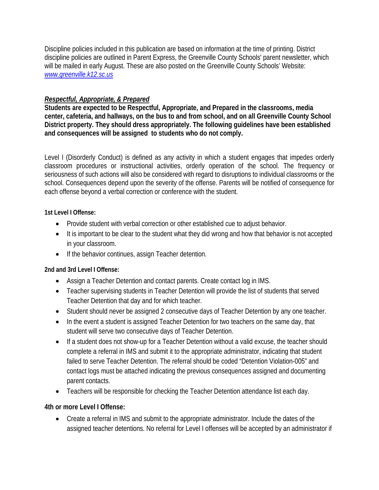Discipline policies included in this publication are based on information at the time of printing. District discipline policies are outlined in Parent Express, the Greenville County Schools' parent newsletter, which will be mailed in early August. These are also posted on the Greenville County Schools' Website: *[www.greenville.k12.sc.us](http://www.greenville.k12.sc.us/)*

## *Respectful, Appropriate, & Prepared*

**Students are expected to be Respectful, Appropriate, and Prepared in the classrooms, media center, cafeteria, and hallways, on the bus to and from school, and on all Greenville County School District property. They should dress appropriately. The following guidelines have been established and consequences will be assigned to students who do not comply.** 

Level I (Disorderly Conduct) is defined as any activity in which a student engages that impedes orderly classroom procedures or instructional activities, orderly operation of the school. The frequency or seriousness of such actions will also be considered with regard to disruptions to individual classrooms or the school. Consequences depend upon the severity of the offense. Parents will be notified of consequence for each offense beyond a verbal correction or conference with the student.

## **1st Level I Offense:**

- Provide student with verbal correction or other established cue to adjust behavior.
- It is important to be clear to the student what they did wrong and how that behavior is not accepted in your classroom.
- If the behavior continues, assign Teacher detention.

## **2nd and 3rd Level I Offense:**

- Assign a Teacher Detention and contact parents. Create contact log in IMS.
- Teacher supervising students in Teacher Detention will provide the list of students that served Teacher Detention that day and for which teacher.
- Student should never be assigned 2 consecutive days of Teacher Detention by any one teacher.
- In the event a student is assigned Teacher Detention for two teachers on the same day, that student will serve two consecutive days of Teacher Detention.
- If a student does not show-up for a Teacher Detention without a valid excuse, the teacher should complete a referral in IMS and submit it to the appropriate administrator, indicating that student failed to serve Teacher Detention. The referral should be coded "Detention Violation-005" and contact logs must be attached indicating the previous consequences assigned and documenting parent contacts.
- Teachers will be responsible for checking the Teacher Detention attendance list each day.

## **4th or more Level I Offense:**

• Create a referral in IMS and submit to the appropriate administrator. Include the dates of the assigned teacher detentions. No referral for Level I offenses will be accepted by an administrator if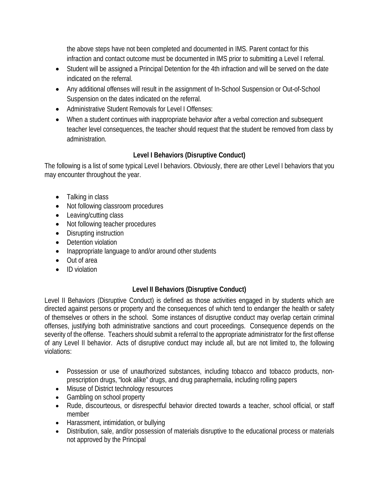the above steps have not been completed and documented in IMS. Parent contact for this infraction and contact outcome must be documented in IMS prior to submitting a Level I referral.

- Student will be assigned a Principal Detention for the 4th infraction and will be served on the date indicated on the referral.
- Any additional offenses will result in the assignment of In-School Suspension or Out-of-School Suspension on the dates indicated on the referral.
- Administrative Student Removals for Level I Offenses:
- When a student continues with inappropriate behavior after a verbal correction and subsequent teacher level consequences, the teacher should request that the student be removed from class by administration.

## **Level I Behaviors (Disruptive Conduct)**

The following is a list of some typical Level I behaviors. Obviously, there are other Level I behaviors that you may encounter throughout the year.

- Talking in class
- Not following classroom procedures
- Leaving/cutting class
- Not following teacher procedures
- Disrupting instruction
- Detention violation
- Inappropriate language to and/or around other students
- Out of area
- ID violation

## **Level II Behaviors (Disruptive Conduct)**

Level II Behaviors (Disruptive Conduct) is defined as those activities engaged in by students which are directed against persons or property and the consequences of which tend to endanger the health or safety of themselves or others in the school. Some instances of disruptive conduct may overlap certain criminal offenses, justifying both administrative sanctions and court proceedings. Consequence depends on the severity of the offense. Teachers should submit a referral to the appropriate administrator for the first offense of any Level II behavior. Acts of disruptive conduct may include all, but are not limited to, the following violations:

- Possession or use of unauthorized substances, including tobacco and tobacco products, nonprescription drugs, "look alike" drugs, and drug paraphernalia, including rolling papers
- Misuse of District technology resources
- Gambling on school property
- Rude, discourteous, or disrespectful behavior directed towards a teacher, school official, or staff member
- Harassment, intimidation, or bullying
- Distribution, sale, and/or possession of materials disruptive to the educational process or materials not approved by the Principal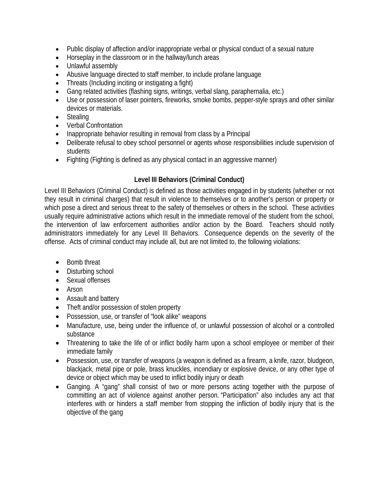- Public display of affection and/or inappropriate verbal or physical conduct of a sexual nature
- Horseplay in the classroom or in the hallway/lunch areas
- Unlawful assembly
- Abusive language directed to staff member, to include profane language
- Threats (Including inciting or instigating a fight)
- Gang related activities (flashing signs, writings, verbal slang, paraphernalia, etc.)
- Use or possession of laser pointers, fireworks, smoke bombs, pepper-style sprays and other similar devices or materials.
- Stealing
- Verbal Confrontation
- Inappropriate behavior resulting in removal from class by a Principal
- Deliberate refusal to obey school personnel or agents whose responsibilities include supervision of students
- Fighting (Fighting is defined as any physical contact in an aggressive manner)

## **Level III Behaviors (Criminal Conduct)**

Level III Behaviors (Criminal Conduct) is defined as those activities engaged in by students (whether or not they result in criminal charges) that result in violence to themselves or to another's person or property or which pose a direct and serious threat to the safety of themselves or others in the school. These activities usually require administrative actions which result in the immediate removal of the student from the school, the intervention of law enforcement authorities and/or action by the Board. Teachers should notify administrators immediately for any Level III Behaviors. Consequence depends on the severity of the offense. Acts of criminal conduct may include all, but are not limited to, the following violations:

- Bomb threat
- Disturbing school
- Sexual offenses
- Arson
- Assault and battery
- Theft and/or possession of stolen property
- Possession, use, or transfer of "look alike" weapons
- Manufacture, use, being under the influence of, or unlawful possession of alcohol or a controlled substance
- Threatening to take the life of or inflict bodily harm upon a school employee or member of their immediate family
- Possession, use, or transfer of weapons (a weapon is defined as a firearm, a knife, razor, bludgeon, blackjack, metal pipe or pole, brass knuckles, incendiary or explosive device, or any other type of device or object which may be used to inflict bodily injury or death
- Ganging. A "gang" shall consist of two or more persons acting together with the purpose of committing an act of violence against another person. "Participation" also includes any act that interferes with or hinders a staff member from stopping the infliction of bodily injury that is the objective of the gang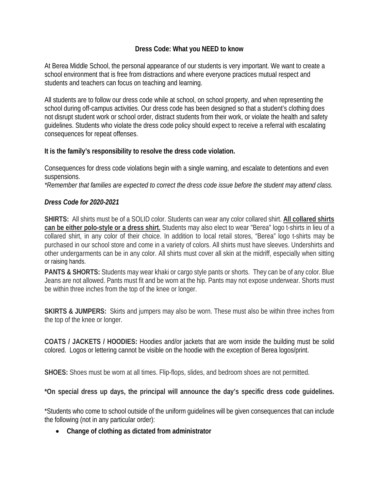## **Dress Code: What you NEED to know**

At Berea Middle School, the personal appearance of our students is very important. We want to create a school environment that is free from distractions and where everyone practices mutual respect and students and teachers can focus on teaching and learning.

All students are to follow our dress code while at school, on school property, and when representing the school during off-campus activities. Our dress code has been designed so that a student's clothing does not disrupt student work or school order, distract students from their work, or violate the health and safety guidelines. Students who violate the dress code policy should expect to receive a referral with escalating consequences for repeat offenses.

## **It is the family's responsibility to resolve the dress code violation.**

Consequences for dress code violations begin with a single warning, and escalate to detentions and even suspensions.

*\*Remember that families are expected to correct the dress code issue before the student may attend class.* 

## *Dress Code for 2020-2021*

**SHIRTS:** All shirts must be of a SOLID color. Students can wear any color collared shirt. **All collared shirts can be either polo-style or a dress shirt.** Students may also elect to wear "Berea" logo t-shirts in lieu of a collared shirt, in any color of their choice. In addition to local retail stores, "Berea" logo t-shirts may be purchased in our school store and come in a variety of colors. All shirts must have sleeves. Undershirts and other undergarments can be in any color. All shirts must cover all skin at the midriff, especially when sitting or raising hands.

**PANTS & SHORTS:** Students may wear khaki or cargo style pants or shorts. They can be of any color. Blue Jeans are not allowed. Pants must fit and be worn at the hip. Pants may not expose underwear. Shorts must be within three inches from the top of the knee or longer.

**SKIRTS & JUMPERS:** Skirts and jumpers may also be worn. These must also be within three inches from the top of the knee or longer.

**COATS / JACKETS / HOODIES:** Hoodies and/or jackets that are worn inside the building must be solid colored. Logos or lettering cannot be visible on the hoodie with the exception of Berea logos/print.

**SHOES:** Shoes must be worn at all times. Flip-flops, slides, and bedroom shoes are not permitted.

**\*On special dress up days, the principal will announce the day's specific dress code guidelines.**

\*Students who come to school outside of the uniform guidelines will be given consequences that can include the following (not in any particular order):

• **Change of clothing as dictated from administrator**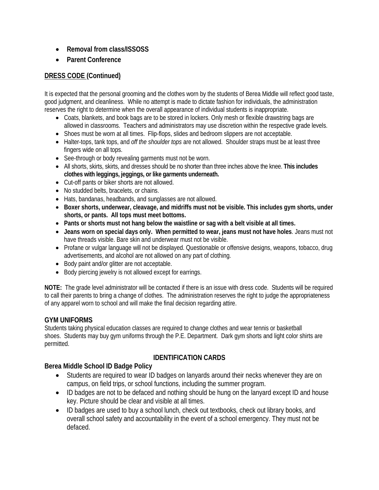- **Removal from class/ISSOSS**
- **Parent Conference**

## **DRESS CODE (Continued)**

It is expected that the personal grooming and the clothes worn by the students of Berea Middle will reflect good taste, good judgment, and cleanliness. While no attempt is made to dictate fashion for individuals, the administration reserves the right to determine when the overall appearance of individual students is inappropriate.

- Coats, blankets, and book bags are to be stored in lockers. Only mesh or flexible drawstring bags are allowed in classrooms. Teachers and administrators may use discretion within the respective grade levels.
- Shoes must be worn at all times. Flip-flops, slides and bedroom slippers are not acceptable.
- Halter-tops, tank tops, and *off the shoulder tops* are not allowed. Shoulder straps must be at least three fingers wide on all tops.
- See-through or body revealing garments must not be worn.
- All shorts, skirts, skirts, and dresses should be no shorter than three inches above the knee. **This includes clothes with leggings, jeggings, or like garments underneath.**
- Cut-off pants or biker shorts are not allowed.
- No studded belts, bracelets, or chains.
- Hats, bandanas, headbands, and sunglasses are not allowed.
- **Boxer shorts, underwear, cleavage, and midriffs must not be visible. This includes gym shorts, under shorts, or pants. All tops must meet bottoms.**
- **Pants or shorts must not hang below the waistline or sag with a belt visible at all times.**
- **Jeans worn on special days only. When permitted to wear, jeans must not have holes**. Jeans must not have threads visible. Bare skin and underwear must not be visible.
- Profane or vulgar language will not be displayed. Questionable or offensive designs, weapons, tobacco, drug advertisements, and alcohol are not allowed on any part of clothing.
- Body paint and/or glitter are not acceptable.
- Body piercing jewelry is not allowed except for earrings.

**NOTE:** The grade level administrator will be contacted if there is an issue with dress code. Students will be required to call their parents to bring a change of clothes. The administration reserves the right to judge the appropriateness of any apparel worn to school and will make the final decision regarding attire.

#### **GYM UNIFORMS**

Students taking physical education classes are required to change clothes and wear tennis or basketball shoes. Students may buy gym uniforms through the P.E. Department. Dark gym shorts and light color shirts are permitted.

## **IDENTIFICATION CARDS**

#### **Berea Middle School ID Badge Policy**

- Students are required to wear ID badges on lanyards around their necks whenever they are on campus, on field trips, or school functions, including the summer program.
- ID badges are not to be defaced and nothing should be hung on the lanyard except ID and house key. Picture should be clear and visible at all times.
- ID badges are used to buy a school lunch, check out textbooks, check out library books, and overall school safety and accountability in the event of a school emergency. They must not be defaced.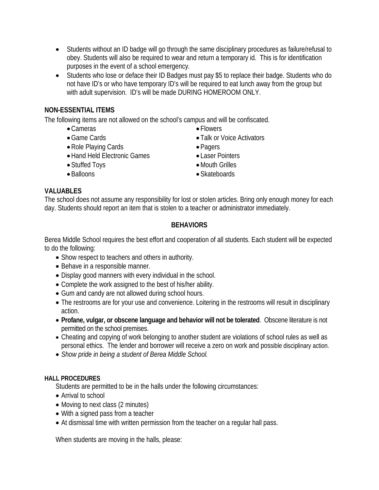- Students without an ID badge will go through the same disciplinary procedures as failure/refusal to obey. Students will also be required to wear and return a temporary id. This is for identification purposes in the event of a school emergency.
- Students who lose or deface their ID Badges must pay \$5 to replace their badge. Students who do not have ID's or who have temporary ID's will be required to eat lunch away from the group but with adult supervision. ID's will be made DURING HOMEROOM ONLY.

## **NON-ESSENTIAL ITEMS**

The following items are not allowed on the school's campus and will be confiscated.

- •Cameras
- Game Cards
- •Role Playing Cards
- Hand Held Electronic Games
- Stuffed Toys
- Balloons
- Flowers • Talk or Voice Activators
- Pagers
- Laser Pointers
- •Mouth Grilles
- Skateboards

#### **VALUABLES**

The school does not assume any responsibility for lost or stolen articles. Bring only enough money for each day. Students should report an item that is stolen to a teacher or administrator immediately.

## **BEHAVIORS**

Berea Middle School requires the best effort and cooperation of all students. Each student will be expected to do the following:

- Show respect to teachers and others in authority.
- Behave in a responsible manner.
- Display good manners with every individual in the school.
- Complete the work assigned to the best of his/her ability.
- Gum and candy are not allowed during school hours.
- The restrooms are for your use and convenience. Loitering in the restrooms will result in disciplinary action.
- **Profane, vulgar, or obscene language and behavior will not be tolerated**. Obscene literature is not permitted on the school premises.
- Cheating and copying of work belonging to another student are violations of school rules as well as personal ethics. The lender and borrower will receive a zero on work and possible disciplinary action.
- *Show pride in being a student of Berea Middle School.*

#### **HALL PROCEDURES**

Students are permitted to be in the halls under the following circumstances:

- Arrival to school
- Moving to next class (2 minutes)
- With a signed pass from a teacher
- At dismissal time with written permission from the teacher on a regular hall pass.

When students are moving in the halls, please: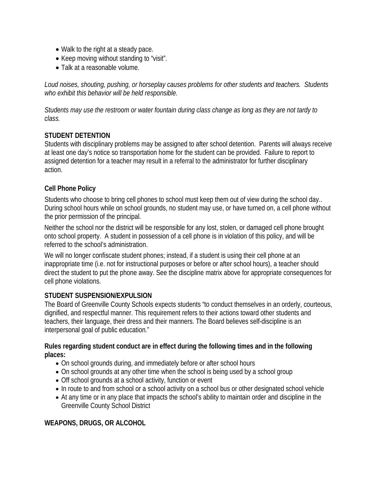- Walk to the right at a steady pace.
- Keep moving without standing to "visit".
- Talk at a reasonable volume.

*Loud noises, shouting, pushing, or horseplay causes problems for other students and teachers. Students who exhibit this behavior will be held responsible.*

*Students may use the restroom or water fountain during class change as long as they are not tardy to class.* 

## **STUDENT DETENTION**

Students with disciplinary problems may be assigned to after school detention. Parents will always receive at least one day's notice so transportation home for the student can be provided. Failure to report to assigned detention for a teacher may result in a referral to the administrator for further disciplinary action.

## **Cell Phone Policy**

Students who choose to bring cell phones to school must keep them out of view during the school day.. During school hours while on school grounds, no student may use, or have turned on, a cell phone without the prior permission of the principal.

Neither the school nor the district will be responsible for any lost, stolen, or damaged cell phone brought onto school property. A student in possession of a cell phone is in violation of this policy, and will be referred to the school's administration.

We will no longer confiscate student phones; instead, if a student is using their cell phone at an inappropriate time (i.e. not for instructional purposes or before or after school hours), a teacher should direct the student to put the phone away. See the discipline matrix above for appropriate consequences for cell phone violations.

## **STUDENT SUSPENSION/EXPULSION**

The Board of Greenville County Schools expects students "to conduct themselves in an orderly, courteous, dignified, and respectful manner. This requirement refers to their actions toward other students and teachers, their language, their dress and their manners. The Board believes self-discipline is an interpersonal goal of public education."

#### **Rules regarding student conduct are in effect during the following times and in the following places:**

- On school grounds during, and immediately before or after school hours
- On school grounds at any other time when the school is being used by a school group
- Off school grounds at a school activity, function or event
- In route to and from school or a school activity on a school bus or other designated school vehicle
- At any time or in any place that impacts the school's ability to maintain order and discipline in the Greenville County School District

## **WEAPONS, DRUGS, OR ALCOHOL**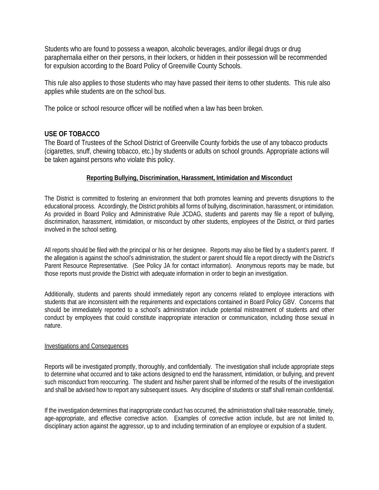Students who are found to possess a weapon, alcoholic beverages, and/or illegal drugs or drug paraphernalia either on their persons, in their lockers, or hidden in their possession will be recommended for expulsion according to the Board Policy of Greenville County Schools.

This rule also applies to those students who may have passed their items to other students. This rule also applies while students are on the school bus.

The police or school resource officer will be notified when a law has been broken.

#### **USE OF TOBACCO**

The Board of Trustees of the School District of Greenville County forbids the use of any tobacco products (cigarettes, snuff, chewing tobacco, etc.) by students or adults on school grounds. Appropriate actions will be taken against persons who violate this policy.

#### **Reporting Bullying, Discrimination, Harassment, Intimidation and Misconduct**

The District is committed to fostering an environment that both promotes learning and prevents disruptions to the educational process. Accordingly, the District prohibits all forms of bullying, discrimination, harassment, or intimidation. As provided in Board Policy and Administrative Rule JCDAG, students and parents may file a report of bullying, discrimination, harassment, intimidation, or misconduct by other students, employees of the District, or third parties involved in the school setting.

All reports should be filed with the principal or his or her designee. Reports may also be filed by a student's parent. If the allegation is against the school's administration, the student or parent should file a report directly with the District's Parent Resource Representative. (See Policy JA for contact information). Anonymous reports may be made, but those reports must provide the District with adequate information in order to begin an investigation.

Additionally, students and parents should immediately report any concerns related to employee interactions with students that are inconsistent with the requirements and expectations contained in Board Policy GBV. Concerns that should be immediately reported to a school's administration include potential mistreatment of students and other conduct by employees that could constitute inappropriate interaction or communication, including those sexual in nature.

#### Investigations and Consequences

Reports will be investigated promptly, thoroughly, and confidentially. The investigation shall include appropriate steps to determine what occurred and to take actions designed to end the harassment, intimidation, or bullying, and prevent such misconduct from reoccurring. The student and his/her parent shall be informed of the results of the investigation and shall be advised how to report any subsequent issues. Any discipline of students or staff shall remain confidential.

If the investigation determines that inappropriate conduct has occurred, the administration shall take reasonable, timely, age-appropriate, and effective corrective action. Examples of corrective action include, but are not limited to, disciplinary action against the aggressor, up to and including termination of an employee or expulsion of a student.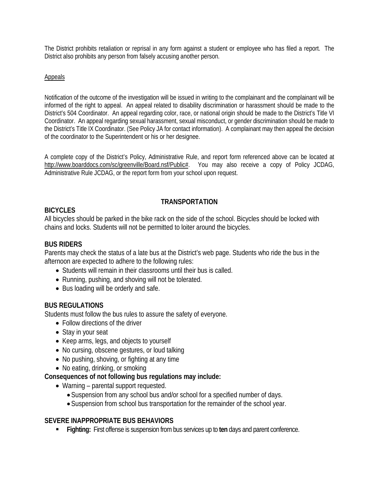The District prohibits retaliation or reprisal in any form against a student or employee who has filed a report. The District also prohibits any person from falsely accusing another person.

#### Appeals

Notification of the outcome of the investigation will be issued in writing to the complainant and the complainant will be informed of the right to appeal. An appeal related to disability discrimination or harassment should be made to the District's 504 Coordinator. An appeal regarding color, race, or national origin should be made to the District's Title VI Coordinator. An appeal regarding sexual harassment, sexual misconduct, or gender discrimination should be made to the District's Title IX Coordinator. (See Policy JA for contact information). A complainant may then appeal the decision of the coordinator to the Superintendent or his or her designee.

A complete copy of the District's Policy, Administrative Rule, and report form referenced above can be located at http://www.boarddocs.com/sc/greenville/Board.nsf/Public#. You may also receive a copy of Policy JCDAG. You may also receive a copy of Policy JCDAG, Administrative Rule JCDAG, or the report form from your school upon request.

## **TRANSPORTATION**

## **BICYCLES**

All bicycles should be parked in the bike rack on the side of the school. Bicycles should be locked with chains and locks. Students will not be permitted to loiter around the bicycles.

## **BUS RIDERS**

Parents may check the status of a late bus at the District's web page. Students who ride the bus in the afternoon are expected to adhere to the following rules:

- Students will remain in their classrooms until their bus is called.
- Running, pushing, and shoving will not be tolerated.
- Bus loading will be orderly and safe.

## **BUS REGULATIONS**

Students must follow the bus rules to assure the safety of everyone.

- Follow directions of the driver
- Stay in your seat
- Keep arms, legs, and objects to yourself
- No cursing, obscene gestures, or loud talking
- No pushing, shoving, or fighting at any time
- No eating, drinking, or smoking

#### **Consequences of not following bus regulations may include:**

- Warning parental support requested.
	- Suspension from any school bus and/or school for a specified number of days.
	- Suspension from school bus transportation for the remainder of the school year.

#### **SEVERE INAPPROPRIATE BUS BEHAVIORS**

**Fighting:** First offense is suspension from bus services up to **ten** days and parent conference.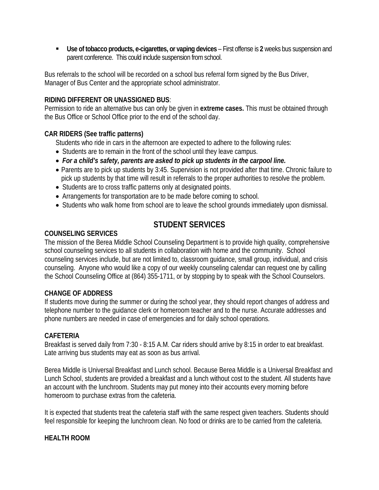**Use of tobacco products, e-cigarettes, or vaping devices** – First offense is **2** weeks bus suspension and parent conference. This could include suspension from school.

Bus referrals to the school will be recorded on a school bus referral form signed by the Bus Driver, Manager of Bus Center and the appropriate school administrator.

### **RIDING DIFFERENT OR UNASSIGNED BUS**:

Permission to ride an alternative bus can only be given in **extreme cases.** This must be obtained through the Bus Office or School Office prior to the end of the school day.

## **CAR RIDERS (See traffic patterns)**

Students who ride in cars in the afternoon are expected to adhere to the following rules:

- Students are to remain in the front of the school until they leave campus.
- *For a child's safety, parents are asked to pick up students in the carpool line.*
- Parents are to pick up students by 3:45. Supervision is not provided after that time. Chronic failure to pick up students by that time will result in referrals to the proper authorities to resolve the problem.
- Students are to cross traffic patterns only at designated points.
- Arrangements for transportation are to be made before coming to school.
- Students who walk home from school are to leave the school grounds immediately upon dismissal.

## **STUDENT SERVICES**

#### **COUNSELING SERVICES**

The mission of the Berea Middle School Counseling Department is to provide high quality, comprehensive school counseling services to all students in collaboration with home and the community. School counseling services include, but are not limited to, classroom guidance, small group, individual, and crisis counseling. Anyone who would like a copy of our weekly counseling calendar can request one by calling the School Counseling Office at (864) 355-1711, or by stopping by to speak with the School Counselors.

#### **CHANGE OF ADDRESS**

If students move during the summer or during the school year, they should report changes of address and telephone number to the guidance clerk or homeroom teacher and to the nurse. Accurate addresses and phone numbers are needed in case of emergencies and for daily school operations.

#### **CAFETERIA**

Breakfast is served daily from 7:30 - 8:15 A.M. Car riders should arrive by 8:15 in order to eat breakfast. Late arriving bus students may eat as soon as bus arrival.

Berea Middle is Universal Breakfast and Lunch school. Because Berea Middle is a Universal Breakfast and Lunch School, students are provided a breakfast and a lunch without cost to the student. All students have an account with the lunchroom. Students may put money into their accounts every morning before homeroom to purchase extras from the cafeteria.

It is expected that students treat the cafeteria staff with the same respect given teachers. Students should feel responsible for keeping the lunchroom clean. No food or drinks are to be carried from the cafeteria.

## **HEALTH ROOM**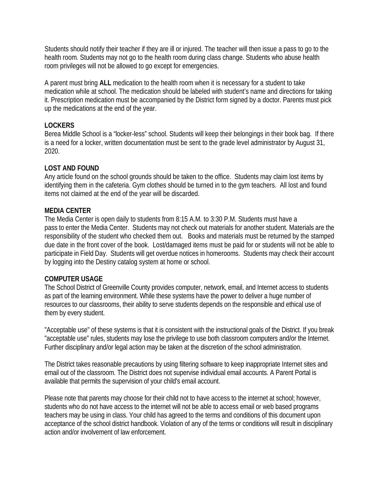Students should notify their teacher if they are ill or injured. The teacher will then issue a pass to go to the health room. Students may not go to the health room during class change. Students who abuse health room privileges will not be allowed to go except for emergencies.

A parent must bring **ALL** medication to the health room when it is necessary for a student to take medication while at school. The medication should be labeled with student's name and directions for taking it. Prescription medication must be accompanied by the District form signed by a doctor. Parents must pick up the medications at the end of the year.

## **LOCKERS**

Berea Middle School is a "locker-less" school. Students will keep their belongings in their book bag. If there is a need for a locker, written documentation must be sent to the grade level administrator by August 31, 2020.

## **LOST AND FOUND**

Any article found on the school grounds should be taken to the office. Students may claim lost items by identifying them in the cafeteria. Gym clothes should be turned in to the gym teachers. All lost and found items not claimed at the end of the year will be discarded.

## **MEDIA CENTER**

The Media Center is open daily to students from 8:15 A.M. to 3:30 P.M. Students must have a pass to enter the Media Center. Students may not check out materials for another student. Materials are the responsibility of the student who checked them out. Books and materials must be returned by the stamped due date in the front cover of the book. Lost/damaged items must be paid for or students will not be able to participate in Field Day. Students will get overdue notices in homerooms. Students may check their account by logging into the Destiny catalog system at home or school.

#### **COMPUTER USAGE**

The School District of Greenville County provides computer, network, email, and Internet access to students as part of the learning environment. While these systems have the power to deliver a huge number of resources to our classrooms, their ability to serve students depends on the responsible and ethical use of them by every student.

"Acceptable use" of these systems is that it is consistent with the instructional goals of the District. If you break "acceptable use" rules, students may lose the privilege to use both classroom computers and/or the Internet. Further disciplinary and/or legal action may be taken at the discretion of the school administration.

The District takes reasonable precautions by using filtering software to keep inappropriate Internet sites and email out of the classroom. The District does not supervise individual email accounts. A Parent Portal is available that permits the supervision of your child's email account.

Please note that parents may choose for their child not to have access to the internet at school; however, students who do not have access to the internet will not be able to access email or web based programs teachers may be using in class. Your child has agreed to the terms and conditions of this document upon acceptance of the school district handbook. Violation of any of the terms or conditions will result in disciplinary action and/or involvement of law enforcement.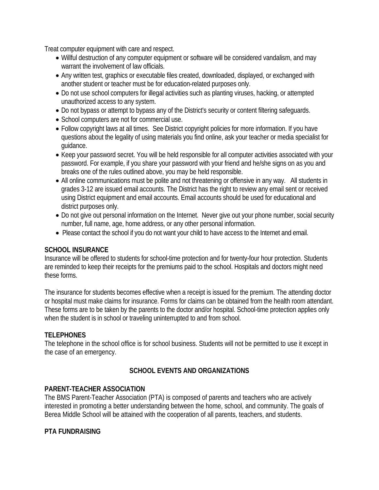Treat computer equipment with care and respect.

- Willful destruction of any computer equipment or software will be considered vandalism, and may warrant the involvement of law officials.
- Any written test, graphics or executable files created, downloaded, displayed, or exchanged with another student or teacher must be for education-related purposes only.
- Do not use school computers for illegal activities such as planting viruses, hacking, or attempted unauthorized access to any system.
- Do not bypass or attempt to bypass any of the District's security or content filtering safeguards.
- School computers are not for commercial use.
- Follow copyright laws at all times. See District copyright policies for more information. If you have questions about the legality of using materials you find online, ask your teacher or media specialist for guidance.
- Keep your password secret. You will be held responsible for all computer activities associated with your password. For example, if you share your password with your friend and he/she signs on as you and breaks one of the rules outlined above, you may be held responsible.
- All online communications must be polite and not threatening or offensive in any way. All students in grades 3-12 are issued email accounts. The District has the right to review any email sent or received using District equipment and email accounts. Email accounts should be used for educational and district purposes only.
- Do not give out personal information on the Internet. Never give out your phone number, social security number, full name, age, home address, or any other personal information.
- Please contact the school if you do not want your child to have access to the Internet and email.

#### **SCHOOL INSURANCE**

Insurance will be offered to students for school-time protection and for twenty-four hour protection. Students are reminded to keep their receipts for the premiums paid to the school. Hospitals and doctors might need these forms.

The insurance for students becomes effective when a receipt is issued for the premium. The attending doctor or hospital must make claims for insurance. Forms for claims can be obtained from the health room attendant. These forms are to be taken by the parents to the doctor and/or hospital. School-time protection applies only when the student is in school or traveling uninterrupted to and from school.

## **TELEPHONES**

The telephone in the school office is for school business. Students will not be permitted to use it except in the case of an emergency.

## **SCHOOL EVENTS AND ORGANIZATIONS**

## **PARENT-TEACHER ASSOCIATION**

The BMS Parent-Teacher Association (PTA) is composed of parents and teachers who are actively interested in promoting a better understanding between the home, school, and community. The goals of Berea Middle School will be attained with the cooperation of all parents, teachers, and students.

#### **PTA FUNDRAISING**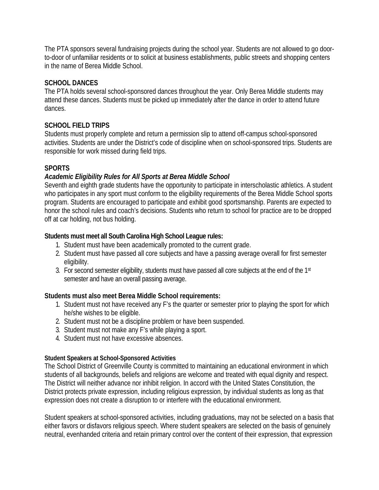The PTA sponsors several fundraising projects during the school year. Students are not allowed to go doorto-door of unfamiliar residents or to solicit at business establishments, public streets and shopping centers in the name of Berea Middle School.

## **SCHOOL DANCES**

The PTA holds several school-sponsored dances throughout the year. Only Berea Middle students may attend these dances. Students must be picked up immediately after the dance in order to attend future dances.

## **SCHOOL FIELD TRIPS**

Students must properly complete and return a permission slip to attend off-campus school-sponsored activities. Students are under the District's code of discipline when on school-sponsored trips. Students are responsible for work missed during field trips.

## **SPORTS**

## *Academic Eligibility Rules for All Sports at Berea Middle School*

Seventh and eighth grade students have the opportunity to participate in interscholastic athletics. A student who participates in any sport must conform to the eligibility requirements of the Berea Middle School sports program. Students are encouraged to participate and exhibit good sportsmanship. Parents are expected to honor the school rules and coach's decisions. Students who return to school for practice are to be dropped off at car holding, not bus holding.

## **Students must meet all South Carolina High School League rules:**

- 1. Student must have been academically promoted to the current grade.
- 2. Student must have passed all core subjects and have a passing average overall for first semester eligibility.
- 3. For second semester eligibility, students must have passed all core subjects at the end of the 1<sup>st</sup> semester and have an overall passing average.

#### **Students must also meet Berea Middle School requirements:**

- 1. Student must not have received any F's the quarter or semester prior to playing the sport for which he/she wishes to be eligible.
- 2. Student must not be a discipline problem or have been suspended.
- 3. Student must not make any F's while playing a sport.
- 4. Student must not have excessive absences.

#### **Student Speakers at School-Sponsored Activities**

The School District of Greenville County is committed to maintaining an educational environment in which students of all backgrounds, beliefs and religions are welcome and treated with equal dignity and respect. The District will neither advance nor inhibit religion. In accord with the United States Constitution, the District protects private expression, including religious expression, by individual students as long as that expression does not create a disruption to or interfere with the educational environment.

Student speakers at school-sponsored activities, including graduations, may not be selected on a basis that either favors or disfavors religious speech. Where student speakers are selected on the basis of genuinely neutral, evenhanded criteria and retain primary control over the content of their expression, that expression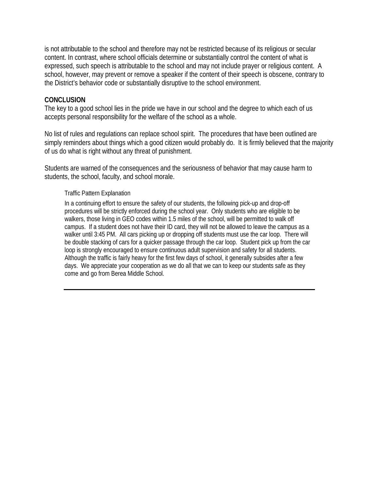is not attributable to the school and therefore may not be restricted because of its religious or secular content. In contrast, where school officials determine or substantially control the content of what is expressed, such speech is attributable to the school and may not include prayer or religious content. A school, however, may prevent or remove a speaker if the content of their speech is obscene, contrary to the District's behavior code or substantially disruptive to the school environment.

#### **CONCLUSION**

The key to a good school lies in the pride we have in our school and the degree to which each of us accepts personal responsibility for the welfare of the school as a whole.

No list of rules and regulations can replace school spirit. The procedures that have been outlined are simply reminders about things which a good citizen would probably do. It is firmly believed that the majority of us do what is right without any threat of punishment.

Students are warned of the consequences and the seriousness of behavior that may cause harm to students, the school, faculty, and school morale.

#### Traffic Pattern Explanation

In a continuing effort to ensure the safety of our students, the following pick-up and drop-off procedures will be strictly enforced during the school year. Only students who are eligible to be walkers, those living in GEO codes within 1.5 miles of the school, will be permitted to walk off campus. If a student does not have their ID card, they will not be allowed to leave the campus as a walker until 3:45 PM. All cars picking up or dropping off students must use the car loop. There will be double stacking of cars for a quicker passage through the car loop. Student pick up from the car loop is strongly encouraged to ensure continuous adult supervision and safety for all students. Although the traffic is fairly heavy for the first few days of school, it generally subsides after a few days. We appreciate your cooperation as we do all that we can to keep our students safe as they come and go from Berea Middle School.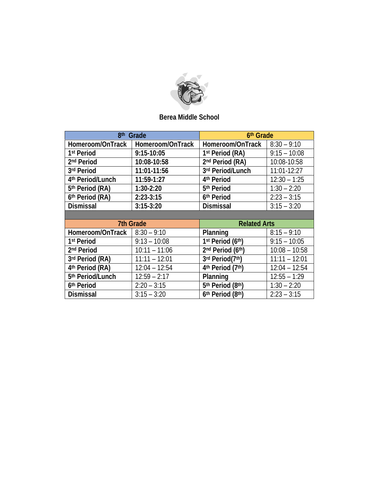

## **Berea Middle School**

| 8 <sup>th</sup> Grade       |                  | 6th Grade                   |                 |
|-----------------------------|------------------|-----------------------------|-----------------|
| Homeroom/OnTrack            | Homeroom/OnTrack | Homeroom/OnTrack            | $8:30 - 9:10$   |
| 1 <sup>st</sup> Period      | $9:15-10:05$     | 1st Period (RA)             | $9:15 - 10:08$  |
| 2 <sup>nd</sup> Period      | 10:08-10:58      | 2 <sup>nd</sup> Period (RA) | 10:08-10:58     |
| 3rd Period                  | 11:01-11:56      | 3rd Period/Lunch            | $11:01 - 12:27$ |
| 4th Period/Lunch            | 11:59-1:27       | 4 <sup>th</sup> Period      | $12:30 - 1:25$  |
| 5 <sup>th</sup> Period (RA) | $1:30-2:20$      | 5 <sup>th</sup> Period      | $1:30 - 2:20$   |
| 6th Period (RA)             | $2:23-3:15$      | 6th Period                  | $2:23 - 3:15$   |
| <b>Dismissal</b>            | $3:15-3:20$      | <b>Dismissal</b>            | $3:15 - 3:20$   |

|                                      | <b>7th Grade</b> | <b>Related Arts</b> |                 |
|--------------------------------------|------------------|---------------------|-----------------|
| Homeroom/OnTrack $\vert$ 8:30 - 9:10 |                  | Planning            | $8:15 - 9:10$   |
| 1 <sup>st</sup> Period               | $9:13 - 10:08$   | 1st Period (6th)    | $9:15 - 10:05$  |
| 2 <sup>nd</sup> Period               | $10:11 - 11:06$  | 2nd Period (6th)    | $10:08 - 10:58$ |
| 3rd Period (RA)                      | $11:11 - 12:01$  | 3rd Period(7th)     | $11:11 - 12:01$ |
| 4th Period (RA)                      | $12:04 - 12:54$  | 4th Period (7th)    | $12:04 - 12:54$ |
| 5th Period/Lunch                     | $12:59 - 2:17$   | Planning            | $12:55 - 1:29$  |
| 6th Period                           | $2:20 - 3:15$    | 5th Period (8th)    | $1:30 - 2:20$   |
| <b>Dismissal</b>                     | $3:15 - 3:20$    | 6th Period (8th)    | $2:23 - 3:15$   |